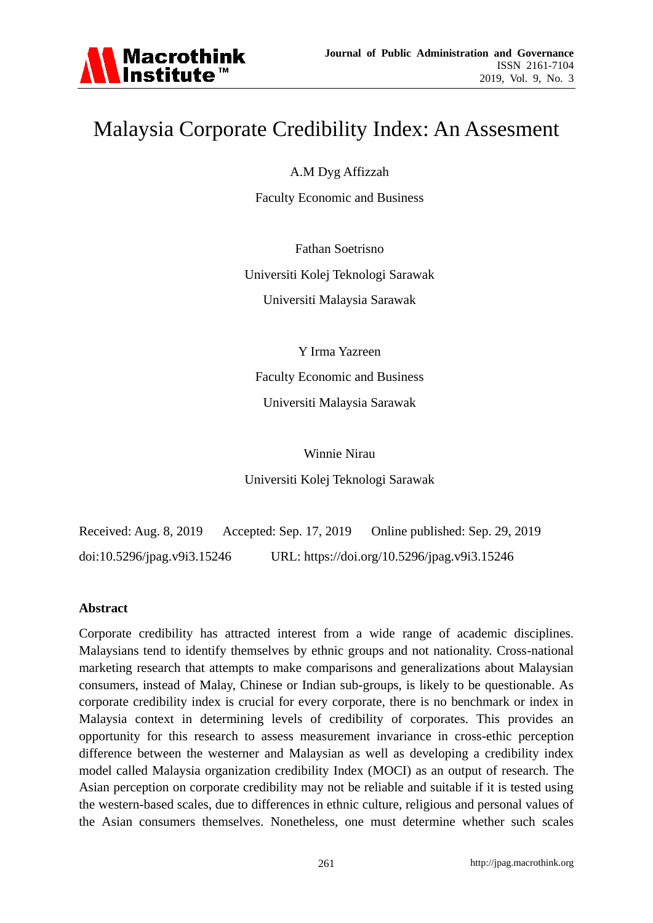

## Malaysia Corporate Credibility Index: An Assesment

A.M Dyg Affizzah

Faculty Economic and Business

Fathan Soetrisno Universiti Kolej Teknologi Sarawak Universiti Malaysia Sarawak

Y Irma Yazreen

Faculty Economic and Business

Universiti Malaysia Sarawak

Winnie Nirau

Universiti Kolej Teknologi Sarawak

Received: Aug. 8, 2019 Accepted: Sep. 17, 2019 Online published: Sep. 29, 2019 doi:10.5296/jpag.v9i3.15246 URL: https://doi.org/10.5296/jpag.v9i3.15246

## **Abstract**

Corporate credibility has attracted interest from a wide range of academic disciplines. Malaysians tend to identify themselves by ethnic groups and not nationality. Cross-national marketing research that attempts to make comparisons and generalizations about Malaysian consumers, instead of Malay, Chinese or Indian sub-groups, is likely to be questionable. As corporate credibility index is crucial for every corporate, there is no benchmark or index in Malaysia context in determining levels of credibility of corporates. This provides an opportunity for this research to assess measurement invariance in cross-ethic perception difference between the westerner and Malaysian as well as developing a credibility index model called Malaysia organization credibility Index (MOCI) as an output of research. The Asian perception on corporate credibility may not be reliable and suitable if it is tested using the western-based scales, due to differences in ethnic culture, religious and personal values of the Asian consumers themselves. Nonetheless, one must determine whether such scales